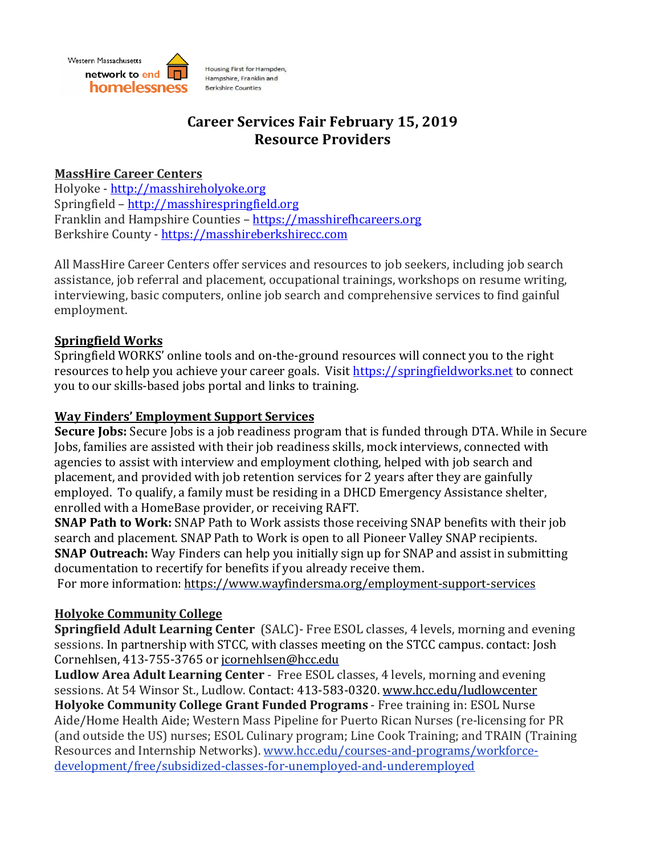

# **Career Services Fair February 15, 2019 Resource Providers**

### **MassHire Career Centers**

Holyoke - http://masshireholyoke.org Springfield – http://masshirespringfield.org Franklin and Hampshire Counties – https://masshirefhcareers.org Berkshire County - https://masshireberkshirecc.com

All MassHire Career Centers offer services and resources to job seekers, including job search assistance, job referral and placement, occupational trainings, workshops on resume writing, interviewing, basic computers, online job search and comprehensive services to find gainful employment.

# **Springfield Works**

Springfield WORKS' online tools and on-the-ground resources will connect you to the right resources to help you achieve your career goals. Visit https://springfieldworks.net to connect you to our skills-based jobs portal and links to training.

### **Way Finders' Employment Support Services**

**Secure Jobs:** Secure Jobs is a job readiness program that is funded through DTA. While in Secure Jobs, families are assisted with their job readiness skills, mock interviews, connected with agencies to assist with interview and employment clothing, helped with job search and placement, and provided with job retention services for 2 years after they are gainfully employed. To qualify, a family must be residing in a DHCD Emergency Assistance shelter, enrolled with a HomeBase provider, or receiving RAFT.

**SNAP Path to Work:** SNAP Path to Work assists those receiving SNAP benefits with their job search and placement. SNAP Path to Work is open to all Pioneer Valley SNAP recipients. **SNAP Outreach:** Way Finders can help you initially sign up for SNAP and assist in submitting documentation to recertify for benefits if you already receive them.

For more information: https://www.wayfindersma.org/employment-support-services

# **Holyoke Community College**

**Springfield Adult Learning Center** (SALC)- Free ESOL classes, 4 levels, morning and evening sessions. In partnership with STCC, with classes meeting on the STCC campus. contact: Josh Cornehlsen, 413-755-3765 or jcornehlsen@hcc.edu

**Ludlow Area Adult Learning Center** - Free ESOL classes, 4 levels, morning and evening sessions. At 54 Winsor St., Ludlow. Contact: 413-583-0320. www.hcc.edu/ludlowcenter **Holyoke Community College Grant Funded Programs** - Free training in: ESOL Nurse Aide/Home Health Aide; Western Mass Pipeline for Puerto Rican Nurses (re-licensing for PR (and outside the US) nurses; ESOL Culinary program; Line Cook Training; and TRAIN (Training Resources and Internship Networks). www.hcc.edu/courses-and-programs/workforcedevelopment/free/subsidized-classes-for-unemployed-and-underemployed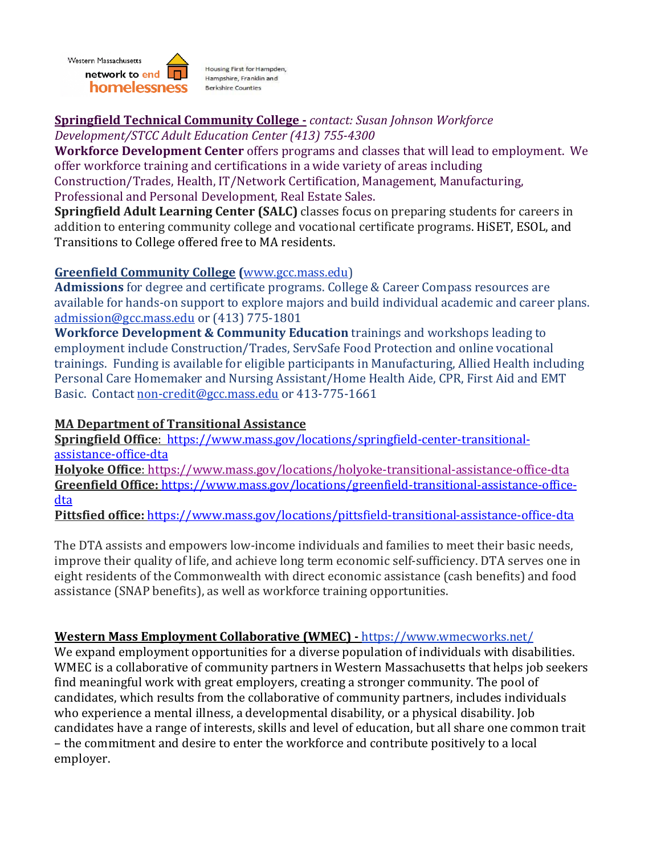

# **Springfield Technical Community College -** *contact: Susan Johnson Workforce*

*Development/STCC Adult Education Center (413) 755-4300*

**Workforce Development Center** offers programs and classes that will lead to employment. We offer workforce training and certifications in a wide variety of areas including Construction/Trades, Health, IT/Network Certification, Management, Manufacturing, Professional and Personal Development, Real Estate Sales.

**Springfield Adult Learning Center (SALC)** classes focus on preparing students for careers in addition to entering community college and vocational certificate programs. HiSET, ESOL, and Transitions to College offered free to MA residents.

### **Greenfield Community College (**www.gcc.mass.edu)

Admissions for degree and certificate programs. College & Career Compass resources are available for hands-on support to explore majors and build individual academic and career plans. admission@gcc.mass.edu or (413) 775-1801

**Workforce Development & Community Education** trainings and workshops leading to employment include Construction/Trades, ServSafe Food Protection and online vocational trainings. Funding is available for eligible participants in Manufacturing, Allied Health including Personal Care Homemaker and Nursing Assistant/Home Health Aide, CPR, First Aid and EMT Basic. Contact non-credit@gcc.mass.edu or 413-775-1661

# **MA Department of Transitional Assistance**

**Springfield Office**: https://www.mass.gov/locations/springfield-center-transitionalassistance-office-dta **Holyoke Office**: https://www.mass.gov/locations/holyoke-transitional-assistance-office-dta Greenfield Office: https://www.mass.gov/locations/greenfield-transitional-assistance-office-

dta

Pittsfied office: https://www.mass.gov/locations/pittsfield-transitional-assistance-office-dta

The DTA assists and empowers low-income individuals and families to meet their basic needs, improve their quality of life, and achieve long term economic self-sufficiency. DTA serves one in eight residents of the Commonwealth with direct economic assistance (cash benefits) and food assistance (SNAP benefits), as well as workforce training opportunities.

# **Western Mass Employment Collaborative (WMEC) - https://www.wmecworks.net/**

We expand employment opportunities for a diverse population of individuals with disabilities. WMEC is a collaborative of community partners in Western Massachusetts that helps job seekers find meaningful work with great employers, creating a stronger community. The pool of candidates, which results from the collaborative of community partners, includes individuals who experience a mental illness, a developmental disability, or a physical disability. Job candidates have a range of interests, skills and level of education, but all share one common trait – the commitment and desire to enter the workforce and contribute positively to a local employer.